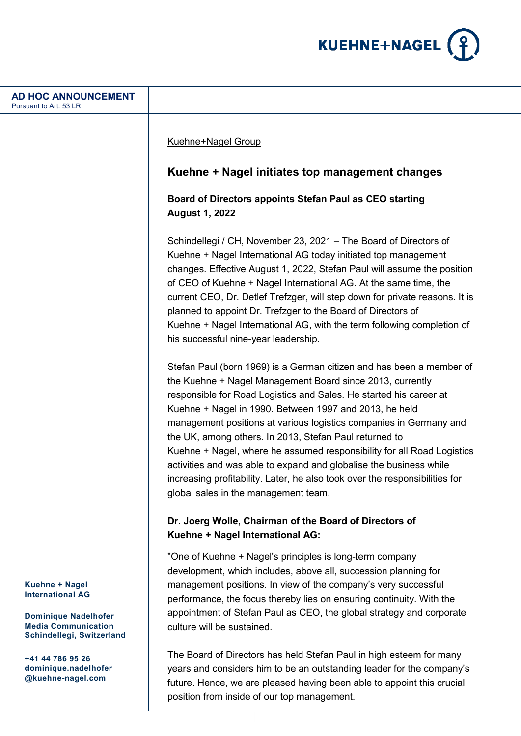

| <b>AD HOC ANNOUNCEMENT</b><br>Pursuant to Art. 53 LR                                                   |                                                                                                                                                                                                                                                                                                                                                                                                                                                                                                                                                                                                                                                                          |
|--------------------------------------------------------------------------------------------------------|--------------------------------------------------------------------------------------------------------------------------------------------------------------------------------------------------------------------------------------------------------------------------------------------------------------------------------------------------------------------------------------------------------------------------------------------------------------------------------------------------------------------------------------------------------------------------------------------------------------------------------------------------------------------------|
|                                                                                                        | Kuehne+Nagel Group                                                                                                                                                                                                                                                                                                                                                                                                                                                                                                                                                                                                                                                       |
|                                                                                                        | Kuehne + Nagel initiates top management changes                                                                                                                                                                                                                                                                                                                                                                                                                                                                                                                                                                                                                          |
|                                                                                                        | Board of Directors appoints Stefan Paul as CEO starting<br><b>August 1, 2022</b>                                                                                                                                                                                                                                                                                                                                                                                                                                                                                                                                                                                         |
|                                                                                                        | Schindellegi / CH, November 23, 2021 - The Board of Directors of<br>Kuehne + Nagel International AG today initiated top management<br>changes. Effective August 1, 2022, Stefan Paul will assume the position<br>of CEO of Kuehne + Nagel International AG. At the same time, the<br>current CEO, Dr. Detlef Trefzger, will step down for private reasons. It is<br>planned to appoint Dr. Trefzger to the Board of Directors of<br>Kuehne + Nagel International AG, with the term following completion of<br>his successful nine-year leadership.                                                                                                                       |
|                                                                                                        | Stefan Paul (born 1969) is a German citizen and has been a member of<br>the Kuehne + Nagel Management Board since 2013, currently<br>responsible for Road Logistics and Sales. He started his career at<br>Kuehne + Nagel in 1990. Between 1997 and 2013, he held<br>management positions at various logistics companies in Germany and<br>the UK, among others. In 2013, Stefan Paul returned to<br>Kuehne + Nagel, where he assumed responsibility for all Road Logistics<br>activities and was able to expand and globalise the business while<br>increasing profitability. Later, he also took over the responsibilities for<br>global sales in the management team. |
|                                                                                                        | Dr. Joerg Wolle, Chairman of the Board of Directors of<br>Kuehne + Nagel International AG:                                                                                                                                                                                                                                                                                                                                                                                                                                                                                                                                                                               |
| Kuehne + Nagel<br><b>International AG</b><br><b>Dominique Nadelhofer</b><br><b>Media Communication</b> | "One of Kuehne + Nagel's principles is long-term company<br>development, which includes, above all, succession planning for<br>management positions. In view of the company's very successful<br>performance, the focus thereby lies on ensuring continuity. With the<br>appointment of Stefan Paul as CEO, the global strategy and corporate<br>culture will be sustained.                                                                                                                                                                                                                                                                                              |
| Schindellegi, Switzerland<br>+41 44 786 95 26<br>dominique.nadelhofer<br>@kuehne-nagel.com             | The Board of Directors has held Stefan Paul in high esteem for many<br>years and considers him to be an outstanding leader for the company's<br>future. Hence, we are pleased having been able to appoint this crucial                                                                                                                                                                                                                                                                                                                                                                                                                                                   |

position from inside of our top management.